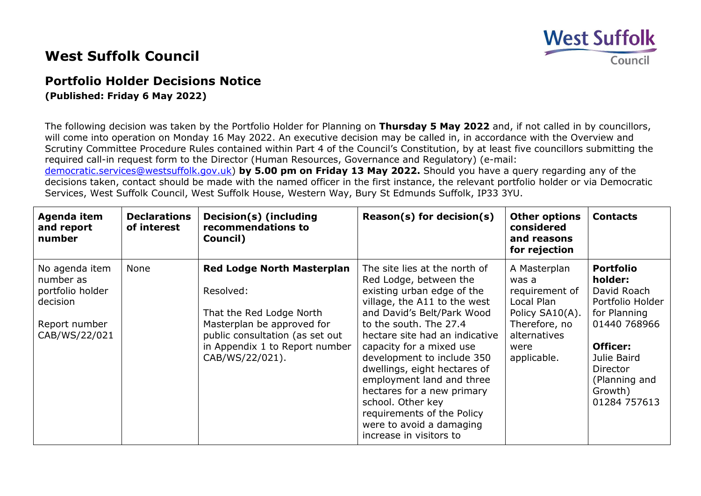## **West Suffolk** Council

## **West Suffolk Council**

## **Portfolio Holder Decisions Notice**

**(Published: Friday 6 May 2022)**

The following decision was taken by the Portfolio Holder for Planning on **Thursday 5 May 2022** and, if not called in by councillors, will come into operation on Monday 16 May 2022. An executive decision may be called in, in accordance with the Overview and Scrutiny Committee Procedure Rules contained within Part 4 of the Council's Constitution, by at least five councillors submitting the required call-in request form to the Director (Human Resources, Governance and Regulatory) (e-mail:

[democratic.services@westsuffolk.gov.uk\)](mailto:democratic.services@westsuffolk.gov.uk) **by 5.00 pm on Friday 13 May 2022.** Should you have a query regarding any of the decisions taken, contact should be made with the named officer in the first instance, the relevant portfolio holder or via Democratic Services, West Suffolk Council, West Suffolk House, Western Way, Bury St Edmunds Suffolk, IP33 3YU.

| Agenda item<br>and report<br>number                                                           | <b>Declarations</b><br>of interest | Decision(s) (including<br>recommendations to<br>Council)                                                                                                                                         | $Reason(s)$ for decision(s)                                                                                                                                                                                                                                                                                                                                                                                                                                                    | <b>Other options</b><br>considered<br>and reasons<br>for rejection                                                               | <b>Contacts</b>                                                                                                                                                                   |
|-----------------------------------------------------------------------------------------------|------------------------------------|--------------------------------------------------------------------------------------------------------------------------------------------------------------------------------------------------|--------------------------------------------------------------------------------------------------------------------------------------------------------------------------------------------------------------------------------------------------------------------------------------------------------------------------------------------------------------------------------------------------------------------------------------------------------------------------------|----------------------------------------------------------------------------------------------------------------------------------|-----------------------------------------------------------------------------------------------------------------------------------------------------------------------------------|
| No agenda item<br>number as<br>portfolio holder<br>decision<br>Report number<br>CAB/WS/22/021 | None                               | <b>Red Lodge North Masterplan</b><br>Resolved:<br>That the Red Lodge North<br>Masterplan be approved for<br>public consultation (as set out<br>in Appendix 1 to Report number<br>CAB/WS/22/021). | The site lies at the north of<br>Red Lodge, between the<br>existing urban edge of the<br>village, the A11 to the west<br>and David's Belt/Park Wood<br>to the south. The 27.4<br>hectare site had an indicative<br>capacity for a mixed use<br>development to include 350<br>dwellings, eight hectares of<br>employment land and three<br>hectares for a new primary<br>school. Other key<br>requirements of the Policy<br>were to avoid a damaging<br>increase in visitors to | A Masterplan<br>was a<br>requirement of<br>Local Plan<br>Policy SA10(A).<br>Therefore, no<br>alternatives<br>were<br>applicable. | <b>Portfolio</b><br>holder:<br>David Roach<br>Portfolio Holder<br>for Planning<br>01440 768966<br>Officer:<br>Julie Baird<br>Director<br>(Planning and<br>Growth)<br>01284 757613 |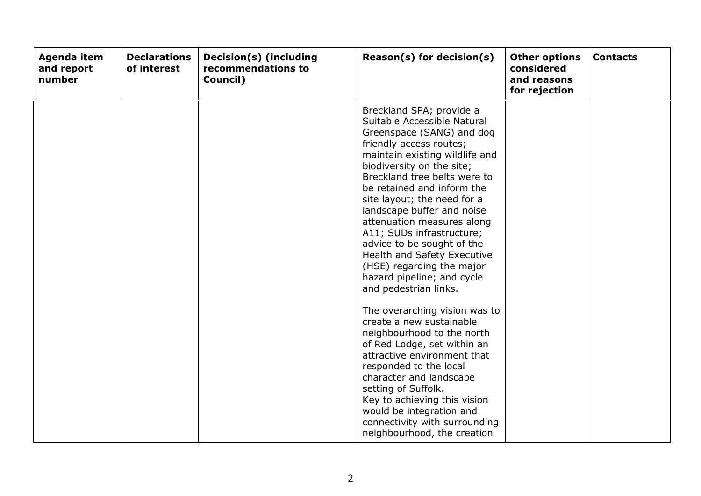| Agenda item<br>and report<br>number | <b>Declarations</b><br>of interest | Decision(s) (including<br>recommendations to<br>Council) | $Reason(s)$ for decision(s)                                                                                                                                                                                                                                                                                                                                                                                                                                                                                                                                                                                                                                                                                                                                                                                                                                                            | <b>Other options</b><br>considered<br>and reasons<br>for rejection | <b>Contacts</b> |
|-------------------------------------|------------------------------------|----------------------------------------------------------|----------------------------------------------------------------------------------------------------------------------------------------------------------------------------------------------------------------------------------------------------------------------------------------------------------------------------------------------------------------------------------------------------------------------------------------------------------------------------------------------------------------------------------------------------------------------------------------------------------------------------------------------------------------------------------------------------------------------------------------------------------------------------------------------------------------------------------------------------------------------------------------|--------------------------------------------------------------------|-----------------|
|                                     |                                    |                                                          | Breckland SPA; provide a<br>Suitable Accessible Natural<br>Greenspace (SANG) and dog<br>friendly access routes;<br>maintain existing wildlife and<br>biodiversity on the site;<br>Breckland tree belts were to<br>be retained and inform the<br>site layout; the need for a<br>landscape buffer and noise<br>attenuation measures along<br>A11; SUDs infrastructure;<br>advice to be sought of the<br>Health and Safety Executive<br>(HSE) regarding the major<br>hazard pipeline; and cycle<br>and pedestrian links.<br>The overarching vision was to<br>create a new sustainable<br>neighbourhood to the north<br>of Red Lodge, set within an<br>attractive environment that<br>responded to the local<br>character and landscape<br>setting of Suffolk.<br>Key to achieving this vision<br>would be integration and<br>connectivity with surrounding<br>neighbourhood, the creation |                                                                    |                 |